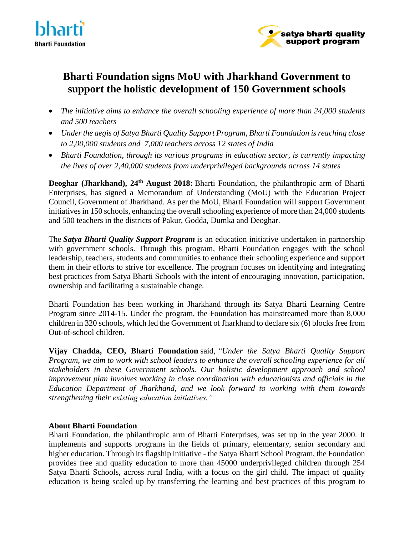



## **Bharti Foundation signs MoU with Jharkhand Government to support the holistic development of 150 Government schools**

- *The initiative aims to enhance the overall schooling experience of more than 24,000 students and 500 teachers*
- *Under the aegis of Satya Bharti Quality Support Program, Bharti Foundation is reaching close to 2,00,000 students and 7,000 teachers across 12 states of India*
- *Bharti Foundation, through its various programs in education sector, is currently impacting the lives of over 2,40,000 students from underprivileged backgrounds across 14 states*

**Deoghar** (Jharkhand), 24<sup>th</sup> August 2018: Bharti Foundation, the philanthropic arm of Bharti Enterprises, has signed a Memorandum of Understanding (MoU) with the Education Project Council, Government of Jharkhand. As per the MoU, Bharti Foundation will support Government initiatives in 150 schools, enhancing the overall schooling experience of more than 24,000 students and 500 teachers in the districts of Pakur, Godda, Dumka and Deoghar.

The *Satya Bharti Quality Support Program* is an education initiative undertaken in partnership with government schools. Through this program, Bharti Foundation engages with the school leadership, teachers, students and communities to enhance their schooling experience and support them in their efforts to strive for excellence. The program focuses on identifying and integrating best practices from Satya Bharti Schools with the intent of encouraging innovation, participation, ownership and facilitating a sustainable change.

Bharti Foundation has been working in Jharkhand through its Satya Bharti Learning Centre Program since 2014-15. Under the program, the Foundation has mainstreamed more than 8,000 children in 320 schools, which led the Government of Jharkhand to declare six (6) blocks free from Out-of-school children.

**Vijay Chadda, CEO, Bharti Foundation** said, *"Under the Satya Bharti Quality Support Program, we aim to work with school leaders to enhance the overall schooling experience for all stakeholders in these Government schools. Our holistic development approach and school improvement plan involves working in close coordination with educationists and officials in the Education Department of Jharkhand, and we look forward to working with them towards strengthening their existing education initiatives."*

## **About Bharti Foundation**

Bharti Foundation, the philanthropic arm of Bharti Enterprises, was set up in the year 2000. It implements and supports programs in the fields of primary, elementary, senior secondary and higher education. Through its flagship initiative - the Satya Bharti School Program, the Foundation provides free and quality education to more than 45000 underprivileged children through 254 Satya Bharti Schools, across rural India, with a focus on the girl child. The impact of quality education is being scaled up by transferring the learning and best practices of this program to